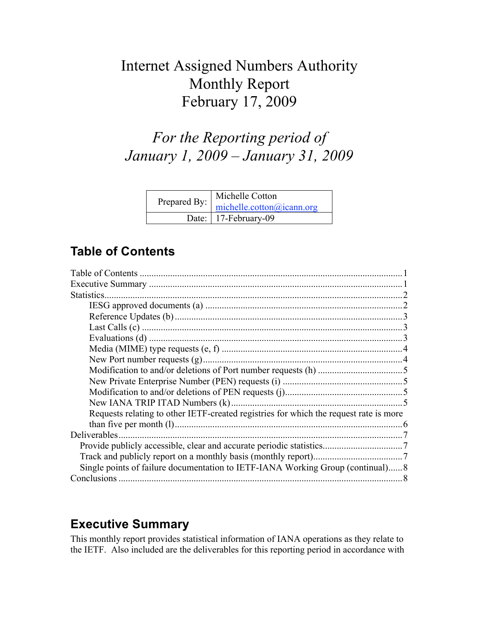# Internet Assigned Numbers Authority Monthly Report February 17, 2009

# *For the Reporting period of January 1, 2009 – January 31, 2009*

| Michelle Cotton<br>Prepared By: michelle.cotton@icann.org |
|-----------------------------------------------------------|
| Date:   17-February-09                                    |

# **Table of Contents**

| Statistics.                                                                           |  |
|---------------------------------------------------------------------------------------|--|
|                                                                                       |  |
|                                                                                       |  |
|                                                                                       |  |
|                                                                                       |  |
|                                                                                       |  |
|                                                                                       |  |
|                                                                                       |  |
|                                                                                       |  |
|                                                                                       |  |
|                                                                                       |  |
| Requests relating to other IETF-created registries for which the request rate is more |  |
|                                                                                       |  |
| Deliverables.                                                                         |  |
|                                                                                       |  |
|                                                                                       |  |
| Single points of failure documentation to IETF-IANA Working Group (continual)8        |  |
|                                                                                       |  |

# **Executive Summary**

This monthly report provides statistical information of IANA operations as they relate to the IETF. Also included are the deliverables for this reporting period in accordance with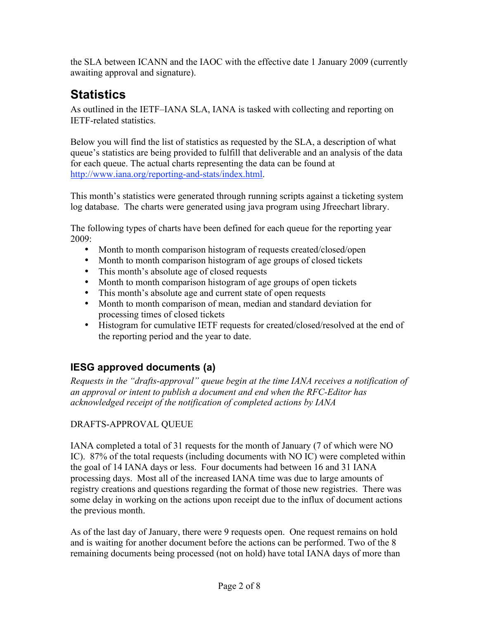the SLA between ICANN and the IAOC with the effective date 1 January 2009 (currently awaiting approval and signature).

# **Statistics**

As outlined in the IETF–IANA SLA, IANA is tasked with collecting and reporting on IETF-related statistics.

Below you will find the list of statistics as requested by the SLA, a description of what queue's statistics are being provided to fulfill that deliverable and an analysis of the data for each queue. The actual charts representing the data can be found at http://www.iana.org/reporting-and-stats/index.html.

This month's statistics were generated through running scripts against a ticketing system log database. The charts were generated using java program using Jfreechart library.

The following types of charts have been defined for each queue for the reporting year 2009:

- Month to month comparison histogram of requests created/closed/open
- Month to month comparison histogram of age groups of closed tickets
- This month's absolute age of closed requests
- Month to month comparison histogram of age groups of open tickets
- This month's absolute age and current state of open requests
- Month to month comparison of mean, median and standard deviation for processing times of closed tickets
- Histogram for cumulative IETF requests for created/closed/resolved at the end of the reporting period and the year to date.

# **IESG approved documents (a)**

*Requests in the "drafts-approval" queue begin at the time IANA receives a notification of an approval or intent to publish a document and end when the RFC-Editor has acknowledged receipt of the notification of completed actions by IANA*

#### DRAFTS-APPROVAL QUEUE

IANA completed a total of 31 requests for the month of January (7 of which were NO IC). 87% of the total requests (including documents with NO IC) were completed within the goal of 14 IANA days or less. Four documents had between 16 and 31 IANA processing days. Most all of the increased IANA time was due to large amounts of registry creations and questions regarding the format of those new registries. There was some delay in working on the actions upon receipt due to the influx of document actions the previous month.

As of the last day of January, there were 9 requests open. One request remains on hold and is waiting for another document before the actions can be performed. Two of the 8 remaining documents being processed (not on hold) have total IANA days of more than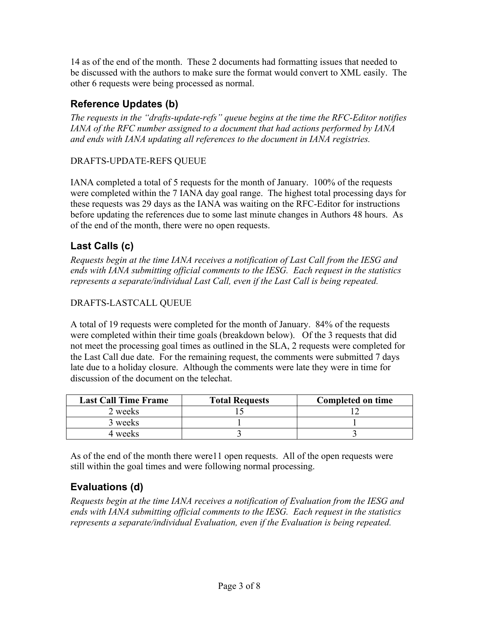14 as of the end of the month. These 2 documents had formatting issues that needed to be discussed with the authors to make sure the format would convert to XML easily. The other 6 requests were being processed as normal.

## **Reference Updates (b)**

*The requests in the "drafts-update-refs" queue begins at the time the RFC-Editor notifies IANA of the RFC number assigned to a document that had actions performed by IANA and ends with IANA updating all references to the document in IANA registries.*

#### DRAFTS-UPDATE-REFS QUEUE

IANA completed a total of 5 requests for the month of January. 100% of the requests were completed within the 7 IANA day goal range. The highest total processing days for these requests was 29 days as the IANA was waiting on the RFC-Editor for instructions before updating the references due to some last minute changes in Authors 48 hours. As of the end of the month, there were no open requests.

### **Last Calls (c)**

*Requests begin at the time IANA receives a notification of Last Call from the IESG and ends with IANA submitting official comments to the IESG. Each request in the statistics represents a separate/individual Last Call, even if the Last Call is being repeated.*

#### DRAFTS-LASTCALL QUEUE

A total of 19 requests were completed for the month of January. 84% of the requests were completed within their time goals (breakdown below). Of the 3 requests that did not meet the processing goal times as outlined in the SLA, 2 requests were completed for the Last Call due date. For the remaining request, the comments were submitted 7 days late due to a holiday closure. Although the comments were late they were in time for discussion of the document on the telechat.

| <b>Last Call Time Frame</b> | <b>Total Requests</b> | <b>Completed on time</b> |
|-----------------------------|-----------------------|--------------------------|
| 2 weeks                     |                       |                          |
| 3 weeks                     |                       |                          |
| 4 weeks                     |                       |                          |

As of the end of the month there were11 open requests. All of the open requests were still within the goal times and were following normal processing.

## **Evaluations (d)**

*Requests begin at the time IANA receives a notification of Evaluation from the IESG and ends with IANA submitting official comments to the IESG. Each request in the statistics represents a separate/individual Evaluation, even if the Evaluation is being repeated.*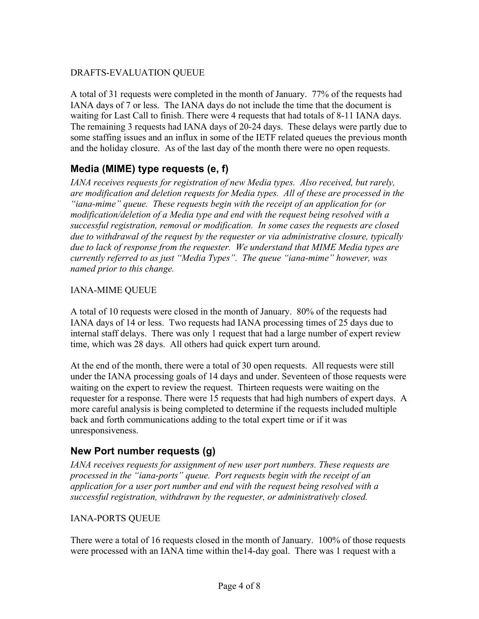#### DRAFTS-EVALUATION QUEUE

A total of 31 requests were completed in the month of January. 77% of the requests had IANA days of 7 or less. The IANA days do not include the time that the document is waiting for Last Call to finish. There were 4 requests that had totals of 8-11 IANA days. The remaining 3 requests had IANA days of 20-24 days. These delays were partly due to some staffing issues and an influx in some of the IETF related queues the previous month and the holiday closure. As of the last day of the month there were no open requests.

## **Media (MIME) type requests (e, f)**

*IANA receives requests for registration of new Media types. Also received, but rarely, are modification and deletion requests for Media types. All of these are processed in the "iana-mime" queue. These requests begin with the receipt of an application for (or modification/deletion of a Media type and end with the request being resolved with a successful registration, removal or modification. In some cases the requests are closed due to withdrawal of the request by the requester or via administrative closure, typically due to lack of response from the requester. We understand that MIME Media types are currently referred to as just "Media Types". The queue "iana-mime" however, was named prior to this change.*

#### IANA-MIME QUEUE

A total of 10 requests were closed in the month of January. 80% of the requests had IANA days of 14 or less. Two requests had IANA processing times of 25 days due to internal staff delays. There was only 1 request that had a large number of expert review time, which was 28 days. All others had quick expert turn around.

At the end of the month, there were a total of 30 open requests. All requests were still under the IANA processing goals of 14 days and under. Seventeen of those requests were waiting on the expert to review the request. Thirteen requests were waiting on the requester for a response. There were 15 requests that had high numbers of expert days. A more careful analysis is being completed to determine if the requests included multiple back and forth communications adding to the total expert time or if it was unresponsiveness.

## **New Port number requests (g)**

*IANA receives requests for assignment of new user port numbers. These requests are processed in the "iana-ports" queue. Port requests begin with the receipt of an application for a user port number and end with the request being resolved with a successful registration, withdrawn by the requester, or administratively closed.*

#### IANA-PORTS QUEUE

There were a total of 16 requests closed in the month of January. 100% of those requests were processed with an IANA time within the14-day goal. There was 1 request with a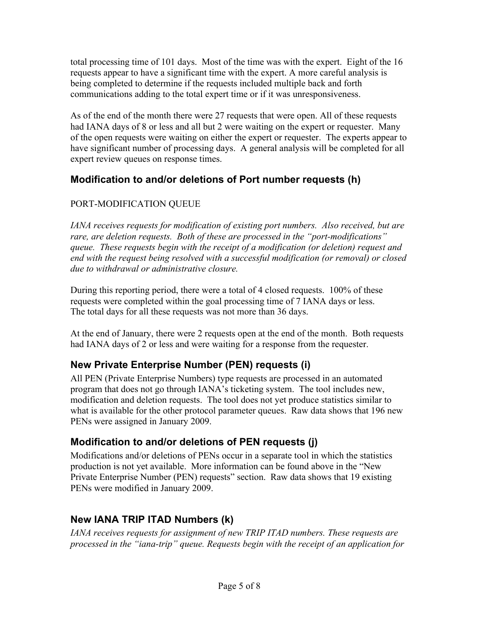total processing time of 101 days. Most of the time was with the expert. Eight of the 16 requests appear to have a significant time with the expert. A more careful analysis is being completed to determine if the requests included multiple back and forth communications adding to the total expert time or if it was unresponsiveness.

As of the end of the month there were 27 requests that were open. All of these requests had IANA days of 8 or less and all but 2 were waiting on the expert or requester. Many of the open requests were waiting on either the expert or requester. The experts appear to have significant number of processing days. A general analysis will be completed for all expert review queues on response times.

### **Modification to and/or deletions of Port number requests (h)**

#### PORT-MODIFICATION QUEUE

*IANA receives requests for modification of existing port numbers. Also received, but are rare, are deletion requests. Both of these are processed in the "port-modifications" queue. These requests begin with the receipt of a modification (or deletion) request and end with the request being resolved with a successful modification (or removal) or closed due to withdrawal or administrative closure.*

During this reporting period, there were a total of 4 closed requests. 100% of these requests were completed within the goal processing time of 7 IANA days or less. The total days for all these requests was not more than 36 days.

At the end of January, there were 2 requests open at the end of the month. Both requests had IANA days of 2 or less and were waiting for a response from the requester.

## **New Private Enterprise Number (PEN) requests (i)**

All PEN (Private Enterprise Numbers) type requests are processed in an automated program that does not go through IANA's ticketing system. The tool includes new, modification and deletion requests. The tool does not yet produce statistics similar to what is available for the other protocol parameter queues. Raw data shows that 196 new PENs were assigned in January 2009.

## **Modification to and/or deletions of PEN requests (j)**

Modifications and/or deletions of PENs occur in a separate tool in which the statistics production is not yet available. More information can be found above in the "New Private Enterprise Number (PEN) requests" section. Raw data shows that 19 existing PENs were modified in January 2009.

## **New IANA TRIP ITAD Numbers (k)**

*IANA receives requests for assignment of new TRIP ITAD numbers. These requests are processed in the "iana-trip" queue. Requests begin with the receipt of an application for*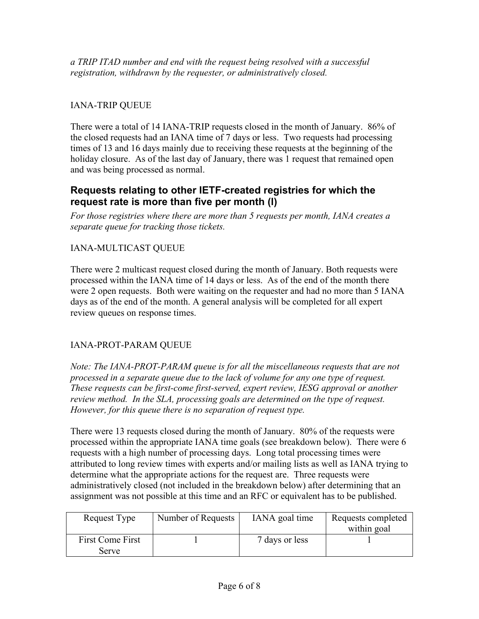*a TRIP ITAD number and end with the request being resolved with a successful registration, withdrawn by the requester, or administratively closed.*

#### IANA-TRIP QUEUE

There were a total of 14 IANA-TRIP requests closed in the month of January. 86% of the closed requests had an IANA time of 7 days or less. Two requests had processing times of 13 and 16 days mainly due to receiving these requests at the beginning of the holiday closure. As of the last day of January, there was 1 request that remained open and was being processed as normal.

#### **Requests relating to other IETF-created registries for which the request rate is more than five per month (l)**

*For those registries where there are more than 5 requests per month, IANA creates a separate queue for tracking those tickets.* 

#### IANA-MULTICAST QUEUE

There were 2 multicast request closed during the month of January. Both requests were processed within the IANA time of 14 days or less. As of the end of the month there were 2 open requests. Both were waiting on the requester and had no more than 5 IANA days as of the end of the month. A general analysis will be completed for all expert review queues on response times.

#### IANA-PROT-PARAM QUEUE

*Note: The IANA-PROT-PARAM queue is for all the miscellaneous requests that are not processed in a separate queue due to the lack of volume for any one type of request. These requests can be first-come first-served, expert review, IESG approval or another review method. In the SLA, processing goals are determined on the type of request. However, for this queue there is no separation of request type.*

There were 13 requests closed during the month of January. 80% of the requests were processed within the appropriate IANA time goals (see breakdown below). There were 6 requests with a high number of processing days. Long total processing times were attributed to long review times with experts and/or mailing lists as well as IANA trying to determine what the appropriate actions for the request are. Three requests were administratively closed (not included in the breakdown below) after determining that an assignment was not possible at this time and an RFC or equivalent has to be published.

| Request Type                     | Number of Requests | IANA goal time | Requests completed<br>within goal |
|----------------------------------|--------------------|----------------|-----------------------------------|
| <b>First Come First</b><br>Serve |                    | 7 days or less |                                   |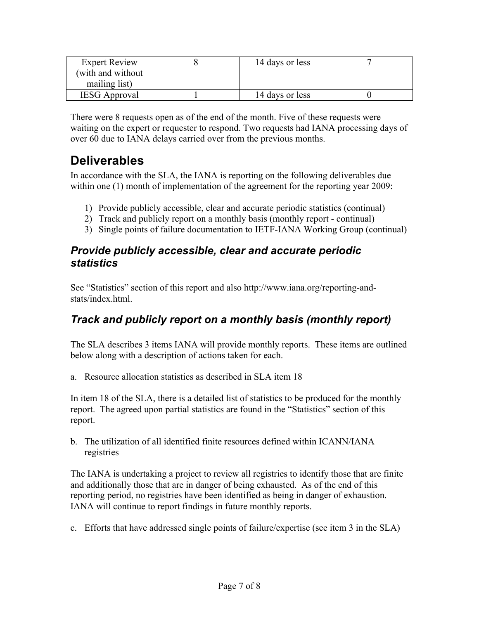| <b>Expert Review</b> | 14 days or less |  |
|----------------------|-----------------|--|
| (with and without    |                 |  |
| mailing list)        |                 |  |
| <b>IESG</b> Approval | 14 days or less |  |

There were 8 requests open as of the end of the month. Five of these requests were waiting on the expert or requester to respond. Two requests had IANA processing days of over 60 due to IANA delays carried over from the previous months.

# **Deliverables**

In accordance with the SLA, the IANA is reporting on the following deliverables due within one (1) month of implementation of the agreement for the reporting year 2009:

- 1) Provide publicly accessible, clear and accurate periodic statistics (continual)
- 2) Track and publicly report on a monthly basis (monthly report continual)
- 3) Single points of failure documentation to IETF-IANA Working Group (continual)

### *Provide publicly accessible, clear and accurate periodic statistics*

See "Statistics" section of this report and also http://www.iana.org/reporting-andstats/index.html.

# *Track and publicly report on a monthly basis (monthly report)*

The SLA describes 3 items IANA will provide monthly reports. These items are outlined below along with a description of actions taken for each.

a. Resource allocation statistics as described in SLA item 18

In item 18 of the SLA, there is a detailed list of statistics to be produced for the monthly report. The agreed upon partial statistics are found in the "Statistics" section of this report.

b. The utilization of all identified finite resources defined within ICANN/IANA registries

The IANA is undertaking a project to review all registries to identify those that are finite and additionally those that are in danger of being exhausted. As of the end of this reporting period, no registries have been identified as being in danger of exhaustion. IANA will continue to report findings in future monthly reports.

c. Efforts that have addressed single points of failure/expertise (see item 3 in the SLA)